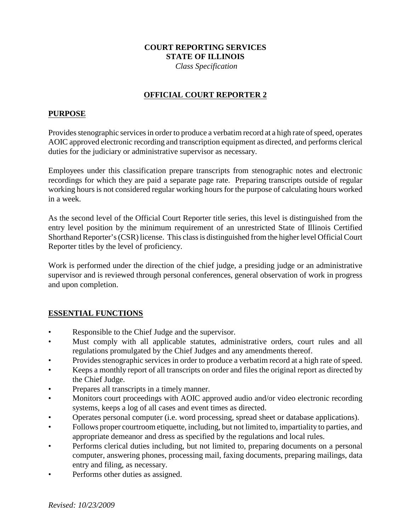### **COURT REPORTING SERVICES STATE OF ILLINOIS**

 *Class Specification*

### **OFFICIAL COURT REPORTER 2**

#### **PURPOSE**

Provides stenographic services in order to produce a verbatim record at a high rate of speed, operates AOIC approved electronic recording and transcription equipment as directed, and performs clerical duties for the judiciary or administrative supervisor as necessary.

Employees under this classification prepare transcripts from stenographic notes and electronic recordings for which they are paid a separate page rate. Preparing transcripts outside of regular working hours is not considered regular working hours for the purpose of calculating hours worked in a week.

As the second level of the Official Court Reporter title series, this level is distinguished from the entry level position by the minimum requirement of an unrestricted State of Illinois Certified Shorthand Reporter's (CSR) license. This class is distinguished from the higher level Official Court Reporter titles by the level of proficiency.

Work is performed under the direction of the chief judge, a presiding judge or an administrative supervisor and is reviewed through personal conferences, general observation of work in progress and upon completion.

### **ESSENTIAL FUNCTIONS**

- Responsible to the Chief Judge and the supervisor.
- Must comply with all applicable statutes, administrative orders, court rules and all regulations promulgated by the Chief Judges and any amendments thereof.
- Provides stenographic services in order to produce a verbatim record at a high rate of speed.
- Keeps a monthly report of all transcripts on order and files the original report as directed by the Chief Judge.
- Prepares all transcripts in a timely manner.
- Monitors court proceedings with AOIC approved audio and/or video electronic recording systems, keeps a log of all cases and event times as directed.
- Operates personal computer (i.e. word processing, spread sheet or database applications).
- Follows proper courtroom etiquette, including, but not limited to, impartiality to parties, and appropriate demeanor and dress as specified by the regulations and local rules.
- Performs clerical duties including, but not limited to, preparing documents on a personal computer, answering phones, processing mail, faxing documents, preparing mailings, data entry and filing, as necessary.
- Performs other duties as assigned.